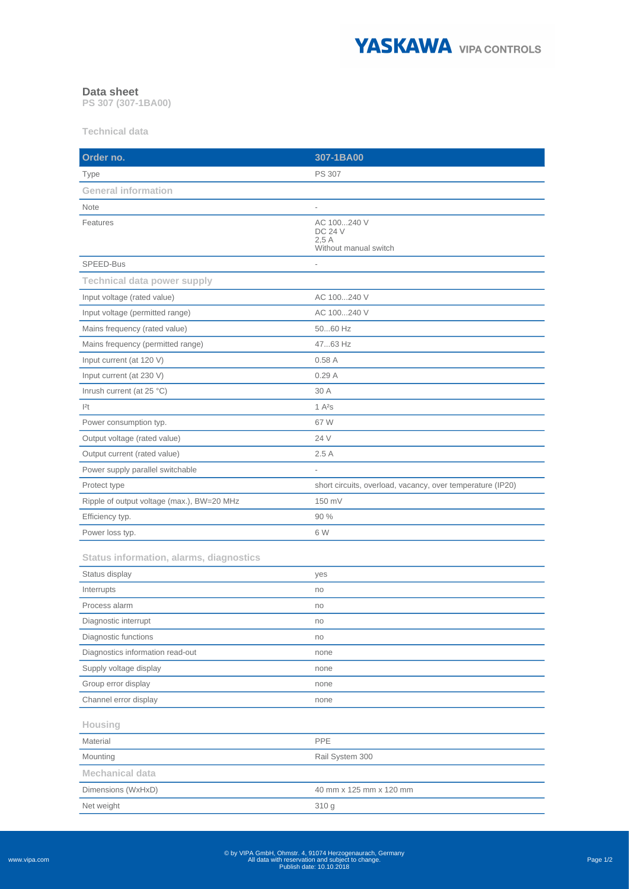

## **Data sheet**

**PS 307 (307-1BA00)**

**Technical data**

| Order no.                                      | 307-1BA00                                                      |
|------------------------------------------------|----------------------------------------------------------------|
| Type                                           | <b>PS 307</b>                                                  |
| <b>General information</b>                     |                                                                |
| Note                                           | $\frac{1}{2}$                                                  |
| Features                                       | AC 100240 V<br><b>DC 24 V</b><br>2,5A<br>Without manual switch |
| SPEED-Bus                                      | $\overline{a}$                                                 |
| <b>Technical data power supply</b>             |                                                                |
| Input voltage (rated value)                    | AC 100240 V                                                    |
| Input voltage (permitted range)                | AC 100240 V                                                    |
| Mains frequency (rated value)                  | 5060 Hz                                                        |
| Mains frequency (permitted range)              | 4763 Hz                                                        |
| Input current (at 120 V)                       | 0.58A                                                          |
| Input current (at 230 V)                       | 0.29A                                                          |
| Inrush current (at 25 °C)                      | 30 A                                                           |
| 2t                                             | 1 A <sup>2</sup> S                                             |
| Power consumption typ.                         | 67 W                                                           |
| Output voltage (rated value)                   | 24 V                                                           |
| Output current (rated value)                   | 2.5A                                                           |
| Power supply parallel switchable               |                                                                |
| Protect type                                   | short circuits, overload, vacancy, over temperature (IP20)     |
| Ripple of output voltage (max.), BW=20 MHz     | 150 mV                                                         |
| Efficiency typ.                                | 90 %                                                           |
| Power loss typ.                                | 6 W                                                            |
| <b>Status information, alarms, diagnostics</b> |                                                                |
| Status display                                 | yes                                                            |
| Interrupts                                     | no                                                             |
| Process alarm                                  | no                                                             |
| Diagnostic interrupt                           | no                                                             |
| Diagnostic functions                           | no                                                             |
| Diagnostics information read-out               | none                                                           |
| Supply voltage display                         | none                                                           |
| Group error display                            | none                                                           |
| Channel error display                          | none                                                           |
| Housing                                        |                                                                |
| Material                                       | PPE                                                            |
| Mounting                                       | Rail System 300                                                |
| <b>Mechanical data</b>                         |                                                                |
| Dimensions (WxHxD)                             | 40 mm x 125 mm x 120 mm                                        |
| Net weight                                     | 310 g                                                          |